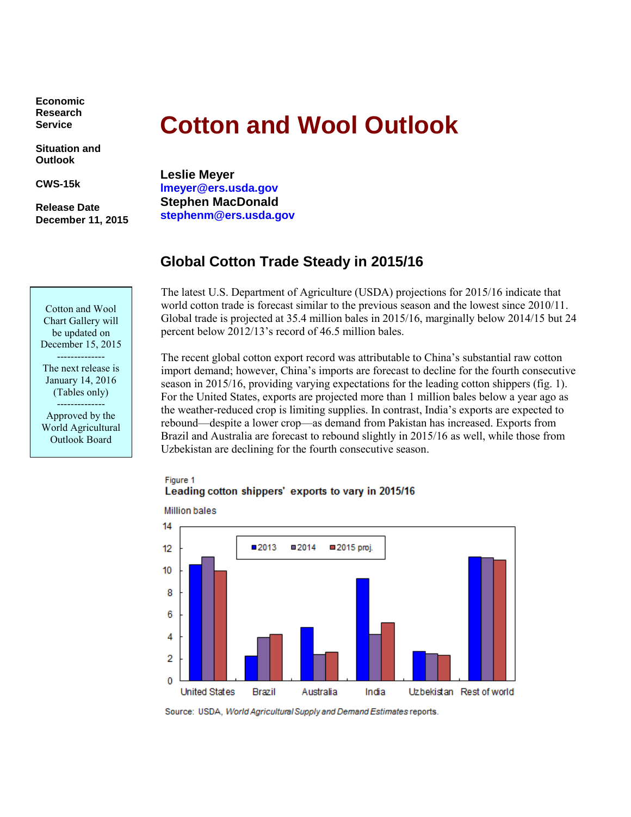**Economic Research Service**

**Situation and Outlook**

**CWS-15k**

**Release Date December 11, 2015**

Cotton and Wool Chart Gallery will be updated on December 15, 2015 -------------- The next release is January 14, 2016 (Tables only) -------------- Approved by the World Agricultural Outlook Board

# **Cotton and Wool Outlook**

**Leslie Meyer lmeyer@ers.usda.gov Stephen MacDonald stephenm@ers.usda.gov**

# **Global Cotton Trade Steady in 2015/16**

The latest U.S. Department of Agriculture (USDA) projections for 2015/16 indicate that world cotton trade is forecast similar to the previous season and the lowest since 2010/11. Global trade is projected at 35.4 million bales in 2015/16, marginally below 2014/15 but 24 percent below 2012/13's record of 46.5 million bales.

The recent global cotton export record was attributable to China's substantial raw cotton import demand; however, China's imports are forecast to decline for the fourth consecutive season in 2015/16, providing varying expectations for the leading cotton shippers (fig. 1). For the United States, exports are projected more than 1 million bales below a year ago as the weather-reduced crop is limiting supplies. In contrast, India's exports are expected to rebound—despite a lower crop—as demand from Pakistan has increased. Exports from Brazil and Australia are forecast to rebound slightly in 2015/16 as well, while those from Uzbekistan are declining for the fourth consecutive season.

## Figure 1 Leading cotton shippers' exports to vary in 2015/16



**Million bales** 

Source: USDA, World Agricultural Supply and Demand Estimates reports.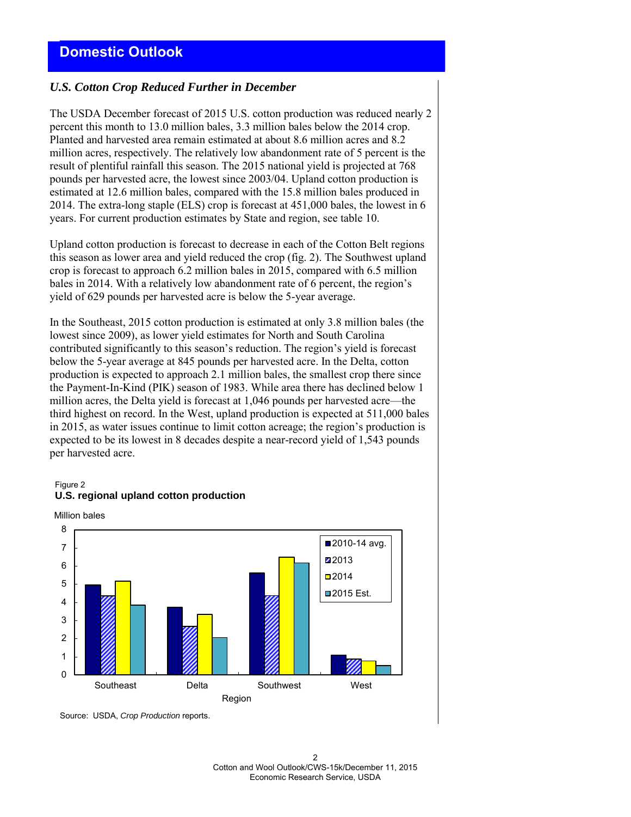# *U.S. Cotton Crop Reduced Further in December*

The USDA December forecast of 2015 U.S. cotton production was reduced nearly 2 percent this month to 13.0 million bales, 3.3 million bales below the 2014 crop. Planted and harvested area remain estimated at about 8.6 million acres and 8.2 million acres, respectively. The relatively low abandonment rate of 5 percent is the result of plentiful rainfall this season. The 2015 national yield is projected at 768 pounds per harvested acre, the lowest since 2003/04. Upland cotton production is estimated at 12.6 million bales, compared with the 15.8 million bales produced in 2014. The extra-long staple (ELS) crop is forecast at 451,000 bales, the lowest in 6 years. For current production estimates by State and region, see table 10.

Upland cotton production is forecast to decrease in each of the Cotton Belt regions this season as lower area and yield reduced the crop (fig. 2). The Southwest upland crop is forecast to approach 6.2 million bales in 2015, compared with 6.5 million bales in 2014. With a relatively low abandonment rate of 6 percent, the region's yield of 629 pounds per harvested acre is below the 5-year average.

In the Southeast, 2015 cotton production is estimated at only 3.8 million bales (the lowest since 2009), as lower yield estimates for North and South Carolina contributed significantly to this season's reduction. The region's yield is forecast below the 5-year average at 845 pounds per harvested acre. In the Delta, cotton production is expected to approach 2.1 million bales, the smallest crop there since the Payment-In-Kind (PIK) season of 1983. While area there has declined below 1 million acres, the Delta yield is forecast at 1,046 pounds per harvested acre—the third highest on record. In the West, upland production is expected at 511,000 bales in 2015, as water issues continue to limit cotton acreage; the region's production is expected to be its lowest in 8 decades despite a near-record yield of 1,543 pounds per harvested acre.

#### Figure 2 **U.S. regional upland cotton production**





Source: USDA, *Crop Production* reports.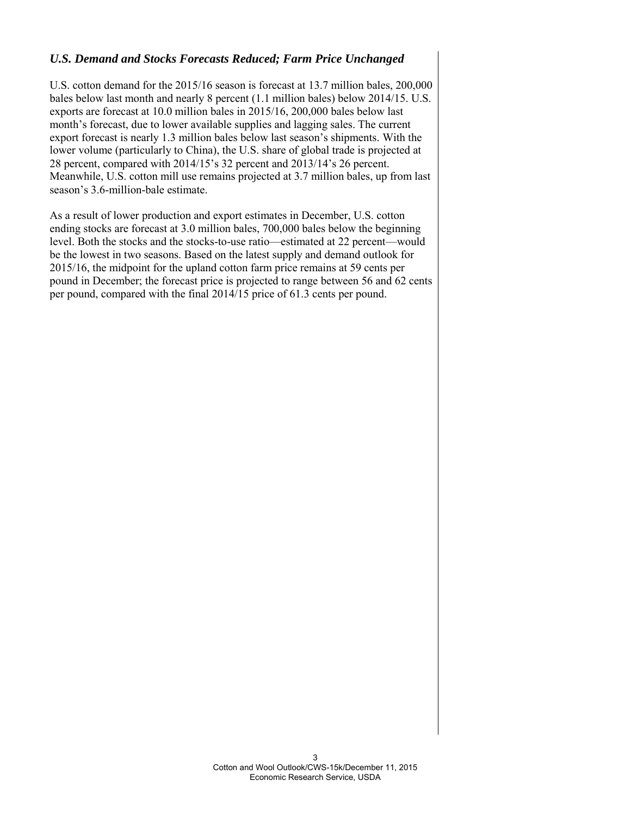# *U.S. Demand and Stocks Forecasts Reduced; Farm Price Unchanged*

U.S. cotton demand for the 2015/16 season is forecast at 13.7 million bales, 200,000 bales below last month and nearly 8 percent (1.1 million bales) below 2014/15. U.S. exports are forecast at 10.0 million bales in 2015/16, 200,000 bales below last month's forecast, due to lower available supplies and lagging sales. The current export forecast is nearly 1.3 million bales below last season's shipments. With the lower volume (particularly to China), the U.S. share of global trade is projected at 28 percent, compared with 2014/15's 32 percent and 2013/14's 26 percent. Meanwhile, U.S. cotton mill use remains projected at 3.7 million bales, up from last season's 3.6-million-bale estimate.

As a result of lower production and export estimates in December, U.S. cotton ending stocks are forecast at 3.0 million bales, 700,000 bales below the beginning level. Both the stocks and the stocks-to-use ratio—estimated at 22 percent—would be the lowest in two seasons. Based on the latest supply and demand outlook for 2015/16, the midpoint for the upland cotton farm price remains at 59 cents per pound in December; the forecast price is projected to range between 56 and 62 cents per pound, compared with the final 2014/15 price of 61.3 cents per pound.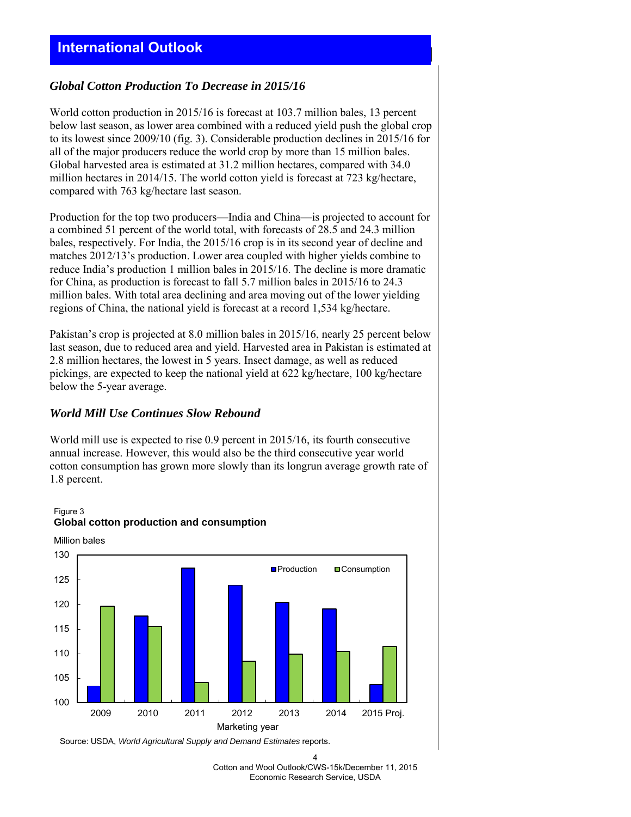# *Global Cotton Production To Decrease in 2015/16*

World cotton production in 2015/16 is forecast at 103.7 million bales, 13 percent below last season, as lower area combined with a reduced yield push the global crop to its lowest since 2009/10 (fig. 3). Considerable production declines in 2015/16 for all of the major producers reduce the world crop by more than 15 million bales. Global harvested area is estimated at 31.2 million hectares, compared with 34.0 million hectares in 2014/15. The world cotton yield is forecast at 723 kg/hectare, compared with 763 kg/hectare last season.

Production for the top two producers—India and China—is projected to account for a combined 51 percent of the world total, with forecasts of 28.5 and 24.3 million bales, respectively. For India, the 2015/16 crop is in its second year of decline and matches 2012/13's production. Lower area coupled with higher yields combine to reduce India's production 1 million bales in 2015/16. The decline is more dramatic for China, as production is forecast to fall 5.7 million bales in 2015/16 to 24.3 million bales. With total area declining and area moving out of the lower yielding regions of China, the national yield is forecast at a record 1,534 kg/hectare.

Pakistan's crop is projected at 8.0 million bales in 2015/16, nearly 25 percent below last season, due to reduced area and yield. Harvested area in Pakistan is estimated at 2.8 million hectares, the lowest in 5 years. Insect damage, as well as reduced pickings, are expected to keep the national yield at 622 kg/hectare, 100 kg/hectare below the 5-year average.

## *World Mill Use Continues Slow Rebound*

World mill use is expected to rise 0.9 percent in 2015/16, its fourth consecutive annual increase. However, this would also be the third consecutive year world cotton consumption has grown more slowly than its longrun average growth rate of 1.8 percent.



Figure 3 **Global cotton production and consumption**

Source: USDA, *World Agricultural Supply and Demand Estimates* reports.

4 Cotton and Wool Outlook/CWS-15k/December 11, 2015 Economic Research Service, USDA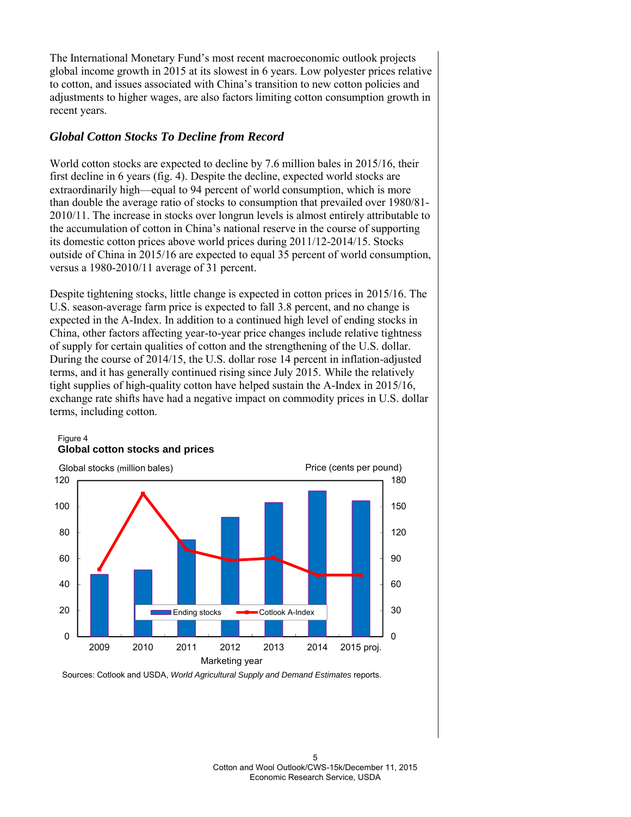The International Monetary Fund's most recent macroeconomic outlook projects global income growth in 2015 at its slowest in 6 years. Low polyester prices relative to cotton, and issues associated with China's transition to new cotton policies and adjustments to higher wages, are also factors limiting cotton consumption growth in recent years.

# *Global Cotton Stocks To Decline from Record*

World cotton stocks are expected to decline by 7.6 million bales in 2015/16, their first decline in 6 years (fig. 4). Despite the decline, expected world stocks are extraordinarily high—equal to 94 percent of world consumption, which is more than double the average ratio of stocks to consumption that prevailed over 1980/81- 2010/11. The increase in stocks over longrun levels is almost entirely attributable to the accumulation of cotton in China's national reserve in the course of supporting its domestic cotton prices above world prices during 2011/12-2014/15. Stocks outside of China in 2015/16 are expected to equal 35 percent of world consumption, versus a 1980-2010/11 average of 31 percent.

Despite tightening stocks, little change is expected in cotton prices in 2015/16. The U.S. season-average farm price is expected to fall 3.8 percent, and no change is expected in the A-Index. In addition to a continued high level of ending stocks in China, other factors affecting year-to-year price changes include relative tightness of supply for certain qualities of cotton and the strengthening of the U.S. dollar. During the course of 2014/15, the U.S. dollar rose 14 percent in inflation-adjusted terms, and it has generally continued rising since July 2015. While the relatively tight supplies of high-quality cotton have helped sustain the A-Index in 2015/16, exchange rate shifts have had a negative impact on commodity prices in U.S. dollar terms, including cotton.



Figure 4 **Global cotton stocks and prices**

Sources: Cotlook and USDA, *World Agricultural Supply and Demand Estimates* reports.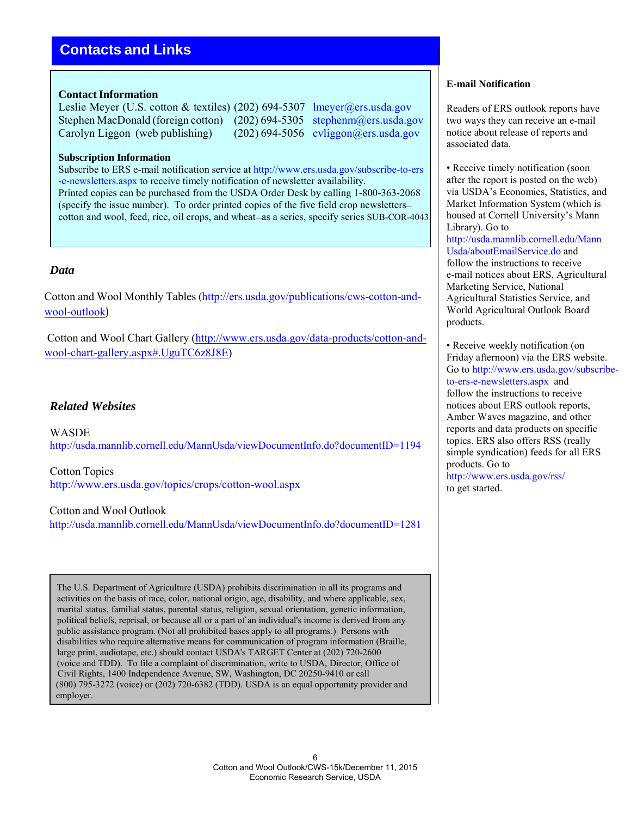# **Contacts and Links**

## **Contact Information**

Leslie Meyer (U.S. cotton & textiles) (202) 694-5307 lmeyer@ers.usda.gov Stephen MacDonald (foreign cotton) (202) 694-5305 stephenm@ers.usda.gov Carolyn Liggon (web publishing) (202) 694-5056 cyliggon@ers.usda.gov

#### **Subscription Information**

Subscribe to ERS e-mail notification service at [http://www.ers.usda.gov/subscribe-to-ers](http://www.ers.usda.gov/subscribe-to-ers-e-newsletters.aspx) [-e-newsletters.aspx t](http://www.ers.usda.gov/subscribe-to-ers-e-newsletters.aspx)o receive timely notification of newsletter availability. Printed copies can be purchased from the USDA Order Desk by calling 1-800-363-2068 (specify the issue number). To order printed copies of the five field crop newsletters cotton and wool, feed, rice, oil crops, and wheat—as a series, specify series SUB-COR-4043.

## *Data*

Cotton and Wool Monthly Tables [\(http://ers.usda.gov/publications/cws-cotton-and](http://cms.ers.usda.gov/publications/cws-cotton-and-wool-outlook)[wool-outlook](http://cms.ers.usda.gov/publications/cws-cotton-and-wool-outlook))

Cotton and Wool Chart Gallery [\(http://www.ers.usda.gov/data-products/cotton-and](http://www.ers.usda.gov/data-products/cotton-and-)wool-chart-gallery.aspx#.UguTC6z8J8E)

## *Related Websites*

**WASDE** <http://usda.mannlib.cornell.edu/MannUsda/viewDocumentInfo.do?documentID=1194>

Cotton Topics <http://www.ers.usda.gov/topics/crops/cotton-wool.aspx>

Cotton and Wool Outlook <http://usda.mannlib.cornell.edu/MannUsda/viewDocumentInfo.do?documentID=1281>

The U.S. Department of Agriculture (USDA) prohibits discrimination in all its programs and activities on the basis of race, color, national origin, age, disability, and where applicable, sex, marital status, familial status, parental status, religion, sexual orientation, genetic information, political beliefs, reprisal, or because all or a part of an individual's income is derived from any public assistance program. (Not all prohibited bases apply to all programs.) Persons with disabilities who require alternative means for communication of program information (Braille, large print, audiotape, etc.) should contact USDA's TARGET Center at (202) 720-2600 (voice and TDD). To file a complaint of discrimination, write to USDA, Director, Office of Civil Rights, 1400 Independence Avenue, SW, Washington, DC 20250-9410 or call (800) 795-3272 (voice) or (202) 720-6382 (TDD). USDA is an equal opportunity provider and employer.

### **E-mail Notification**

Readers of ERS outlook reports have two ways they can receive an e-mail notice about release of reports and associated data.

• Receive timely notification (soon) after the report is posted on the web) via USDA's Economics, Statistics, and Market Information System (which is housed at Cornell University's Mann Library). Go to [http://usda.mannlib.cornell.edu/Mann](http://usda.mannlib.cornell.edu/MannUsda/aboutEmailService.do) [Usda/aboutEmailService.do a](http://usda.mannlib.cornell.edu/MannUsda/aboutEmailService.do)nd follow the instructions to receive e-mail notices about ERS, Agricultural Marketing Service, National Agricultural Statistics Service, and World Agricultural Outlook Board products.

• Receive weekly notification (on Friday afternoon) via the ERS website. Go to [http://www.ers.usda.gov/subscribe](http://www.ers.usda.gov/subscribe-)to-ers-e-newsletters.aspx and follow the instructions to receive notices about ERS outlook reports, Amber Waves magazine, and other reports and data products on specific topics. ERS also offers RSS (really simple syndication) feeds for all ERS products. Go to <http://www.ers.usda.gov/rss/> to get started.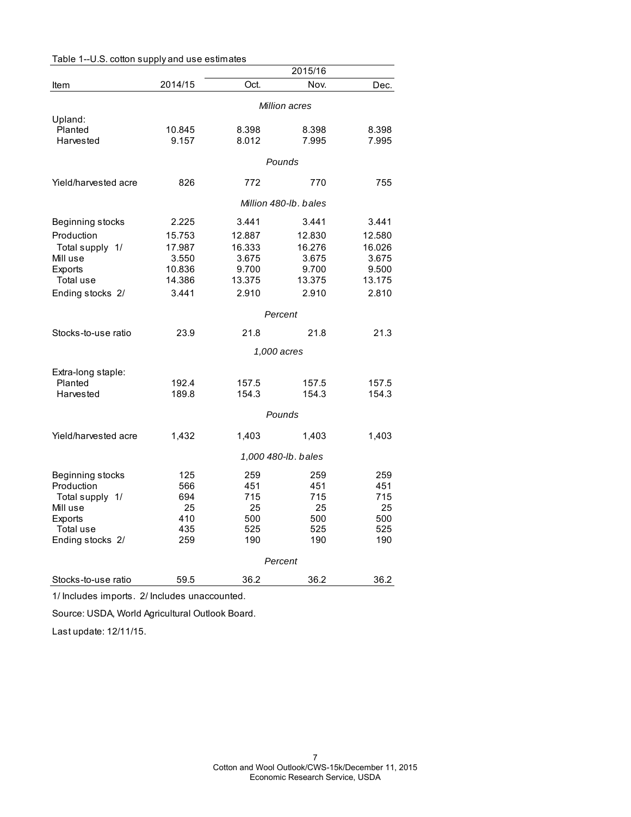|                      |                       |        | 2015/16             |        |  |
|----------------------|-----------------------|--------|---------------------|--------|--|
| Item                 | 2014/15               | Oct.   | Nov.                | Dec.   |  |
|                      |                       |        | Million acres       |        |  |
| Upland:              |                       |        |                     |        |  |
| Planted              | 10.845                | 8.398  | 8.398               | 8.398  |  |
| Harvested            | 9.157                 | 8.012  | 7.995               | 7.995  |  |
|                      | Pounds                |        |                     |        |  |
| Yield/harvested acre | 826                   | 772    | 770                 | 755    |  |
|                      | Million 480-lb, bales |        |                     |        |  |
| Beginning stocks     | 2.225                 | 3.441  | 3.441               | 3.441  |  |
| Production           | 15.753                | 12.887 | 12.830              | 12.580 |  |
| Total supply 1/      | 17.987                | 16.333 | 16.276              | 16.026 |  |
| Mill use             | 3.550                 | 3.675  | 3.675               | 3.675  |  |
| <b>Exports</b>       | 10.836                | 9.700  | 9.700               | 9.500  |  |
| Total use            | 14.386                | 13.375 | 13.375              | 13.175 |  |
| Ending stocks 2/     | 3.441                 | 2.910  | 2.910               | 2.810  |  |
|                      | Percent               |        |                     |        |  |
| Stocks-to-use ratio  | 23.9                  | 21.8   | 21.8                | 21.3   |  |
|                      |                       |        | 1,000 acres         |        |  |
| Extra-long staple:   |                       |        |                     |        |  |
| Planted              | 192.4                 | 157.5  | 157.5               | 157.5  |  |
| Harvested            | 189.8                 | 154.3  | 154.3               | 154.3  |  |
|                      |                       |        | Pounds              |        |  |
| Yield/harvested acre | 1,432                 | 1,403  | 1,403               | 1,403  |  |
|                      |                       |        | 1,000 480-lb. bales |        |  |
| Beginning stocks     | 125                   | 259    | 259                 | 259    |  |
| Production           | 566                   | 451    | 451                 | 451    |  |
| Total supply 1/      | 694                   | 715    | 715                 | 715    |  |
| Mill use             | 25                    | 25     | 25                  | 25     |  |
| Exports              | 410                   | 500    | 500                 | 500    |  |
| Total use            | 435                   | 525    | 525                 | 525    |  |
| Ending stocks 2/     | 259                   | 190    | 190                 | 190    |  |
|                      |                       |        | Percent             |        |  |
| Stocks-to-use ratio  | 59.5                  | 36.2   | 36.2                | 36.2   |  |

Table 1--U.S. cotton supply and use estimates

1/ Includes imports. 2/ Includes unaccounted.

Source: USDA, World Agricultural Outlook Board.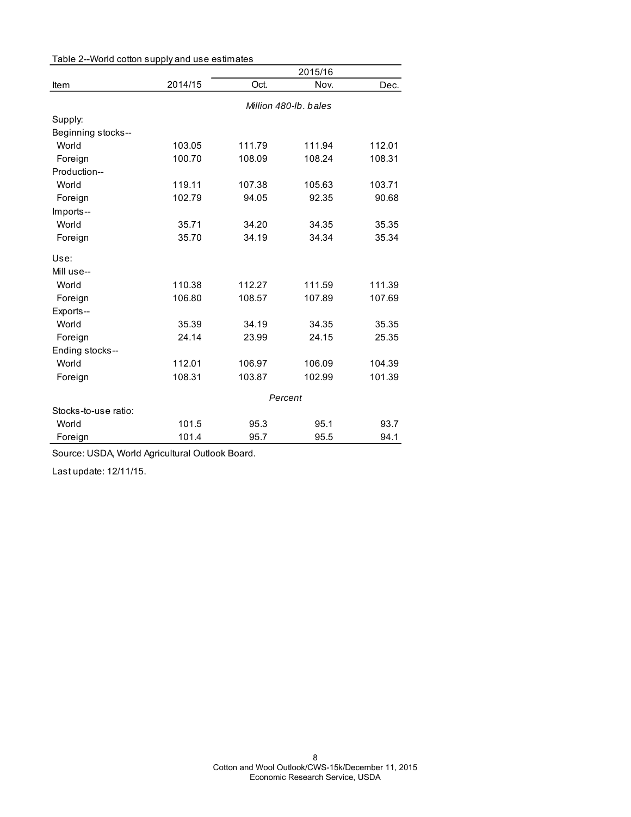| Table 2--World cotton supply and use estimates |         |         |                       |        |  |  |
|------------------------------------------------|---------|---------|-----------------------|--------|--|--|
|                                                |         | 2015/16 |                       |        |  |  |
| Item                                           | 2014/15 | Oct.    | Nov.                  | Dec.   |  |  |
|                                                |         |         | Million 480-lb, bales |        |  |  |
| Supply:                                        |         |         |                       |        |  |  |
| Beginning stocks--                             |         |         |                       |        |  |  |
| World                                          | 103.05  | 111.79  | 111.94                | 112.01 |  |  |
| Foreign                                        | 100.70  | 108.09  | 108.24                | 108.31 |  |  |
| Production--                                   |         |         |                       |        |  |  |
| World                                          | 119.11  | 107.38  | 105.63                | 103.71 |  |  |
| Foreign                                        | 102.79  | 94.05   | 92.35                 | 90.68  |  |  |
| Imports--                                      |         |         |                       |        |  |  |
| World                                          | 35.71   | 34.20   | 34.35                 | 35.35  |  |  |
| Foreign                                        | 35.70   | 34.19   | 34.34                 | 35.34  |  |  |
| Use:                                           |         |         |                       |        |  |  |
| Mill use--                                     |         |         |                       |        |  |  |
| World                                          | 110.38  | 112.27  | 111.59                | 111.39 |  |  |
| Foreign                                        | 106.80  | 108.57  | 107.89                | 107.69 |  |  |
| Exports--                                      |         |         |                       |        |  |  |
| World                                          | 35.39   | 34.19   | 34.35                 | 35.35  |  |  |
| Foreign                                        | 24.14   | 23.99   | 24.15                 | 25.35  |  |  |
| Ending stocks--                                |         |         |                       |        |  |  |
| World                                          | 112.01  | 106.97  | 106.09                | 104.39 |  |  |
| Foreign                                        | 108.31  | 103.87  | 102.99                | 101.39 |  |  |
|                                                | Percent |         |                       |        |  |  |
| Stocks-to-use ratio:                           |         |         |                       |        |  |  |
| World                                          | 101.5   | 95.3    | 95.1                  | 93.7   |  |  |
| Foreign                                        | 101.4   | 95.7    | 95.5                  | 94.1   |  |  |

Source: USDA, World Agricultural Outlook Board.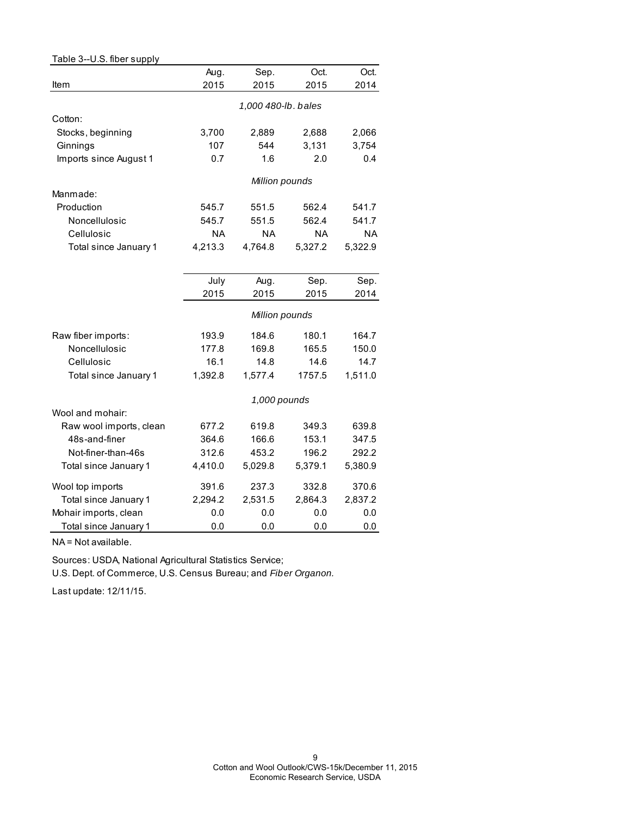| Table 3--U.S. fiber supply |           |                     |           |           |
|----------------------------|-----------|---------------------|-----------|-----------|
|                            | Aug.      | Sep.                | Oct.      | Oct.      |
| Item                       | 2015      | 2015                | 2015      | 2014      |
|                            |           | 1,000 480-lb. bales |           |           |
| Cotton:                    |           |                     |           |           |
| Stocks, beginning          | 3,700     | 2,889               | 2,688     | 2,066     |
| Ginnings                   | 107       | 544                 | 3,131     | 3,754     |
| Imports since August 1     | 0.7       | 1.6                 | 2.0       | 0.4       |
|                            |           | Million pounds      |           |           |
| Manmade:                   |           |                     |           |           |
| Production                 | 545.7     | 551.5               | 562.4     | 541.7     |
| Noncellulosic              | 545.7     | 551.5               | 562.4     | 541.7     |
| Cellulosic                 | <b>NA</b> | <b>NA</b>           | <b>NA</b> | <b>NA</b> |
| Total since January 1      | 4,213.3   | 4,764.8             | 5,327.2   | 5,322.9   |
|                            |           |                     |           |           |
|                            | July      | Aug.                | Sep.      | Sep.      |
|                            | 2015      | 2015                | 2015      | 2014      |
|                            |           | Million pounds      |           |           |
| Raw fiber imports:         | 193.9     | 184.6               | 180.1     | 164.7     |
| Noncellulosic              | 177.8     | 169.8               | 165.5     | 150.0     |
| Cellulosic                 | 16.1      | 14.8                | 14.6      | 14.7      |
| Total since January 1      | 1,392.8   | 1,577.4             | 1757.5    | 1,511.0   |
|                            |           | 1,000 pounds        |           |           |
| Wool and mohair:           |           |                     |           |           |
| Raw wool imports, clean    | 677.2     | 619.8               | 349.3     | 639.8     |
| 48s-and-finer              | 364.6     | 166.6               | 153.1     | 347.5     |
| Not-finer-than-46s         | 312.6     | 453.2               | 196.2     | 292.2     |
| Total since January 1      | 4,410.0   | 5,029.8             | 5,379.1   | 5,380.9   |
| Wool top imports           | 391.6     | 237.3               | 332.8     | 370.6     |
| Total since January 1      | 2,294.2   | 2,531.5             | 2,864.3   | 2,837.2   |
| Mohair imports, clean      | 0.0       | 0.0                 | 0.0       | 0.0       |
| Total since January 1      | 0.0       | 0.0                 | 0.0       | 0.0       |

NA = Not available.

Sources: USDA, National Agricultural Statistics Service;

U.S. Dept. of Commerce, U.S. Census Bureau; and *Fiber Organon.*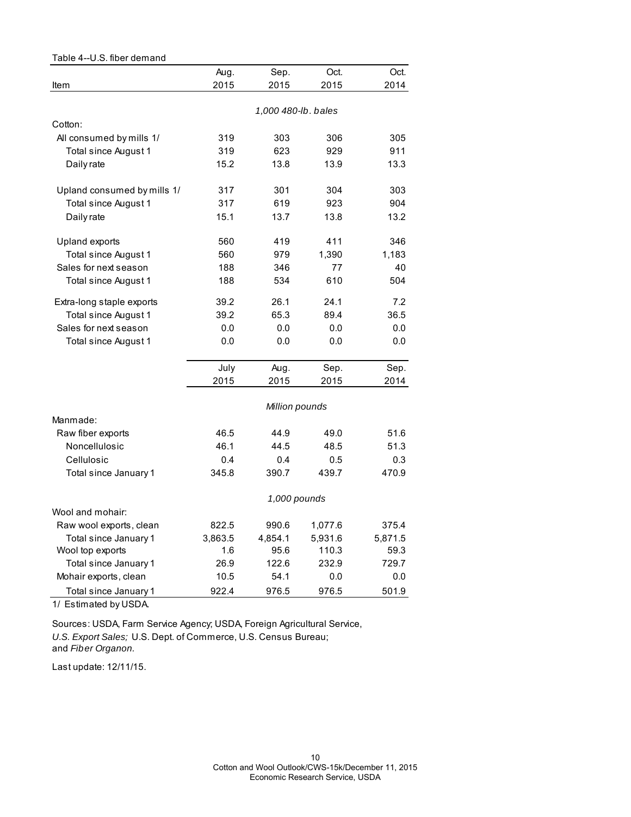| Table 4--U.S. fiber demand  |         |                     |         |         |
|-----------------------------|---------|---------------------|---------|---------|
|                             | Aug.    | Sep.                | Oct.    | Oct.    |
| Item                        | 2015    | 2015                | 2015    | 2014    |
|                             |         |                     |         |         |
|                             |         | 1,000 480-lb. bales |         |         |
| Cotton:                     |         |                     |         |         |
| All consumed by mills 1/    | 319     | 303                 | 306     | 305     |
| Total since August 1        | 319     | 623                 | 929     | 911     |
| Daily rate                  | 15.2    | 13.8                | 13.9    | 13.3    |
| Upland consumed by mills 1/ | 317     | 301                 | 304     | 303     |
| Total since August 1        | 317     | 619                 | 923     | 904     |
| Daily rate                  | 15.1    | 13.7                | 13.8    | 13.2    |
| Upland exports              | 560     | 419                 | 411     | 346     |
| Total since August 1        | 560     | 979                 | 1,390   | 1,183   |
| Sales for next season       | 188     | 346                 | 77      | 40      |
| Total since August 1        | 188     | 534                 | 610     | 504     |
| Extra-long staple exports   | 39.2    | 26.1                | 24.1    | 7.2     |
| Total since August 1        | 39.2    | 65.3                | 89.4    | 36.5    |
| Sales for next season       | 0.0     | 0.0                 | 0.0     | 0.0     |
| Total since August 1        | 0.0     | 0.0                 | 0.0     | 0.0     |
|                             | July    | Aug.                | Sep.    | Sep.    |
|                             | 2015    | 2015                | 2015    | 2014    |
|                             |         | Million pounds      |         |         |
| Manmade:                    |         |                     |         |         |
| Raw fiber exports           | 46.5    | 44.9                | 49.0    | 51.6    |
| Noncellulosic               | 46.1    | 44.5                | 48.5    | 51.3    |
| Cellulosic                  | 0.4     | 0.4                 | 0.5     | 0.3     |
| Total since January 1       | 345.8   | 390.7               | 439.7   | 470.9   |
|                             |         | 1,000 pounds        |         |         |
| Wool and mohair:            |         |                     |         |         |
| Raw wool exports, clean     | 822.5   | 990.6               | 1,077.6 | 375.4   |
| Total since January 1       | 3,863.5 | 4,854.1             | 5,931.6 | 5,871.5 |
| Wool top exports            | 1.6     | 95.6                | 110.3   | 59.3    |
| Total since January 1       | 26.9    | 122.6               | 232.9   | 729.7   |
| Mohair exports, clean       | 10.5    | 54.1                | 0.0     | 0.0     |
| Total since January 1       | 922.4   | 976.5               | 976.5   | 501.9   |

1/ Estimated by USDA.

Sources: USDA, Farm Service Agency; USDA, Foreign Agricultural Service, *U.S. Export Sales;* U.S. Dept. of Commerce, U.S. Census Bureau; and *Fiber Organon.*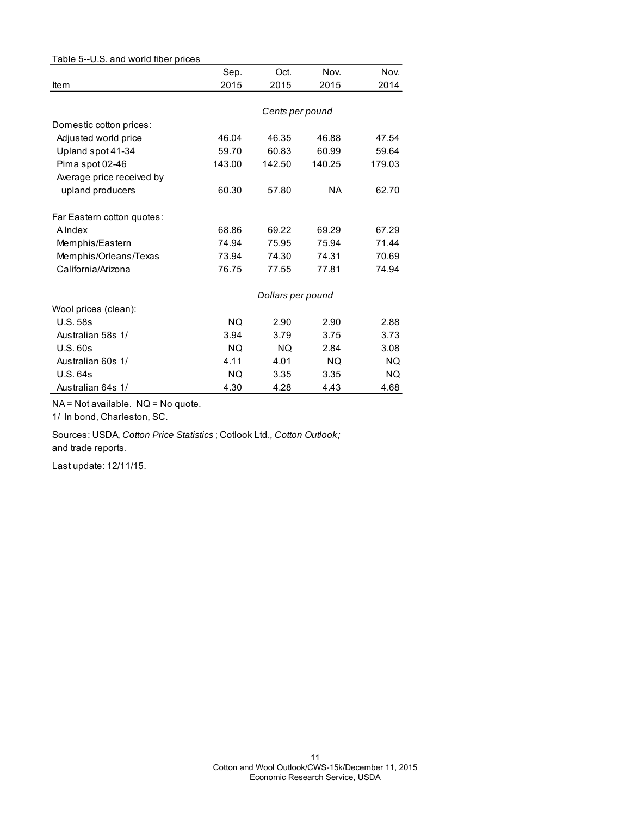| Table 5--U.S. and world fiber prices |        |                   |        |        |
|--------------------------------------|--------|-------------------|--------|--------|
|                                      | Sep.   | Oct.              | Nov.   | Nov.   |
| Item                                 | 2015   | 2015              | 2015   | 2014   |
|                                      |        |                   |        |        |
|                                      |        | Cents per pound   |        |        |
| Domestic cotton prices:              |        |                   |        |        |
| Adjusted world price                 | 46.04  | 46.35             | 46.88  | 47.54  |
| Upland spot 41-34                    | 59.70  | 60.83             | 60.99  | 59.64  |
| Pima spot 02-46                      | 143.00 | 142.50            | 140.25 | 179.03 |
| Average price received by            |        |                   |        |        |
| upland producers                     | 60.30  | 57.80             | NA.    | 62.70  |
| Far Eastern cotton quotes:           |        |                   |        |        |
| A Index                              | 68.86  | 69.22             | 69.29  | 67.29  |
| Memphis/Eastern                      | 74.94  | 75.95             | 75.94  | 71.44  |
| Memphis/Orleans/Texas                | 73.94  | 74.30             | 74.31  | 70.69  |
| California/Arizona                   | 76.75  | 77.55             | 77.81  | 74.94  |
|                                      |        | Dollars per pound |        |        |
| Wool prices (clean):                 |        |                   |        |        |
| <b>U.S. 58s</b>                      | NQ.    | 2.90              | 2.90   | 2.88   |
| Australian 58s 1/                    | 3.94   | 3.79              | 3.75   | 3.73   |
| U.S.60s                              | NQ.    | <b>NQ</b>         | 2.84   | 3.08   |
| Australian 60s 1/                    | 4.11   | 4.01              | NQ.    | NQ.    |
| U.S.64s                              | NQ.    | 3.35              | 3.35   | NQ.    |
| Australian 64s 1/                    | 4.30   | 4.28              | 4.43   | 4.68   |

NA = Not available. NQ = No quote.

1/ In bond, Charleston, SC.

Sources: USDA, *Cotton Price Statistics* ; Cotlook Ltd., *Cotton Outlook;*  and trade reports.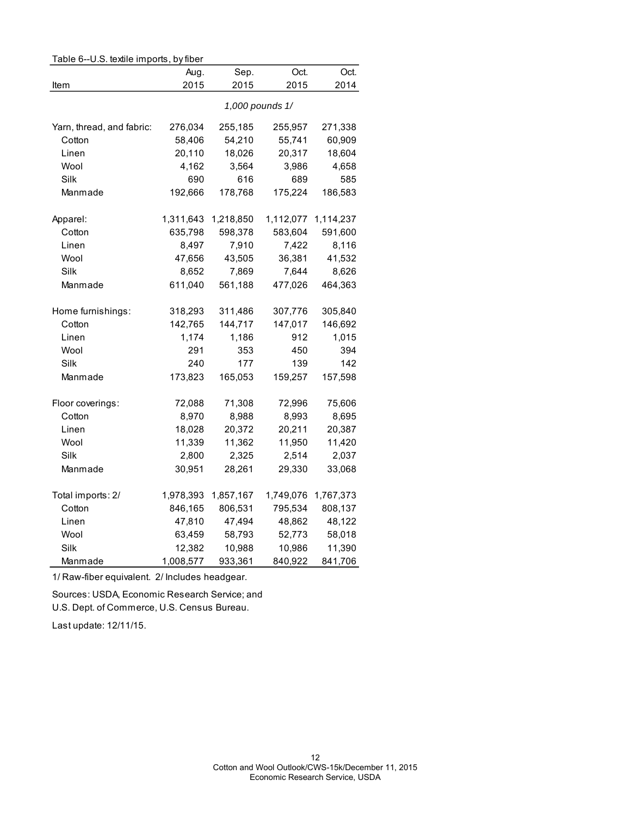| Table 6--U.S. textile imports, by fiber |                 |           |           |           |  |  |
|-----------------------------------------|-----------------|-----------|-----------|-----------|--|--|
|                                         | Aug.            | Sep.      | Oct.      | Oct.      |  |  |
| Item                                    | 2015            | 2015      | 2015      | 2014      |  |  |
|                                         |                 |           |           |           |  |  |
|                                         | 1,000 pounds 1/ |           |           |           |  |  |
| Yarn, thread, and fabric:               | 276,034         | 255,185   | 255,957   | 271,338   |  |  |
| Cotton                                  | 58,406          | 54,210    | 55,741    | 60,909    |  |  |
| Linen                                   | 20,110          | 18,026    | 20,317    | 18,604    |  |  |
| Wool                                    | 4,162           | 3,564     | 3,986     | 4,658     |  |  |
| Silk                                    | 690             | 616       | 689       | 585       |  |  |
| Manmade                                 | 192,666         | 178,768   | 175,224   | 186,583   |  |  |
| Apparel:                                | 1,311,643       | 1,218,850 | 1,112,077 | 1,114,237 |  |  |
| Cotton                                  | 635,798         | 598,378   | 583,604   | 591,600   |  |  |
| Linen                                   | 8,497           | 7,910     | 7,422     | 8,116     |  |  |
| Wool                                    | 47,656          | 43,505    | 36,381    | 41,532    |  |  |
| Silk                                    | 8,652           | 7,869     | 7,644     | 8,626     |  |  |
| Manmade                                 | 611,040         | 561,188   | 477,026   | 464,363   |  |  |
| Home furnishings:                       | 318,293         | 311,486   | 307,776   | 305,840   |  |  |
| Cotton                                  | 142,765         | 144,717   | 147,017   | 146,692   |  |  |
| Linen                                   | 1,174           | 1,186     | 912       | 1,015     |  |  |
| Wool                                    | 291             | 353       | 450       | 394       |  |  |
| Silk                                    | 240             | 177       | 139       | 142       |  |  |
| Manmade                                 | 173,823         | 165,053   | 159,257   | 157,598   |  |  |
| Floor coverings:                        | 72,088          | 71,308    | 72,996    | 75,606    |  |  |
| Cotton                                  | 8,970           | 8,988     | 8,993     | 8,695     |  |  |
| Linen                                   | 18,028          | 20,372    | 20,211    | 20,387    |  |  |
| Wool                                    | 11,339          | 11,362    | 11,950    | 11,420    |  |  |
| Silk                                    | 2,800           | 2,325     | 2,514     | 2,037     |  |  |
| Manmade                                 | 30,951          | 28,261    | 29,330    | 33,068    |  |  |
| Total imports: 2/                       | 1,978,393       | 1,857,167 | 1,749,076 | 1,767,373 |  |  |
| Cotton                                  | 846,165         | 806,531   | 795,534   | 808,137   |  |  |
| Linen                                   | 47,810          | 47,494    | 48,862    | 48,122    |  |  |
| Wool                                    | 63,459          | 58,793    | 52,773    | 58,018    |  |  |
| Silk                                    | 12,382          | 10,988    | 10,986    | 11,390    |  |  |
| Manmade                                 | 1,008,577       | 933,361   | 840,922   | 841,706   |  |  |
|                                         |                 |           |           |           |  |  |

1/ Raw-fiber equivalent. 2/ Includes headgear.

Sources: USDA, Economic Research Service; and

U.S. Dept. of Commerce, U.S. Census Bureau.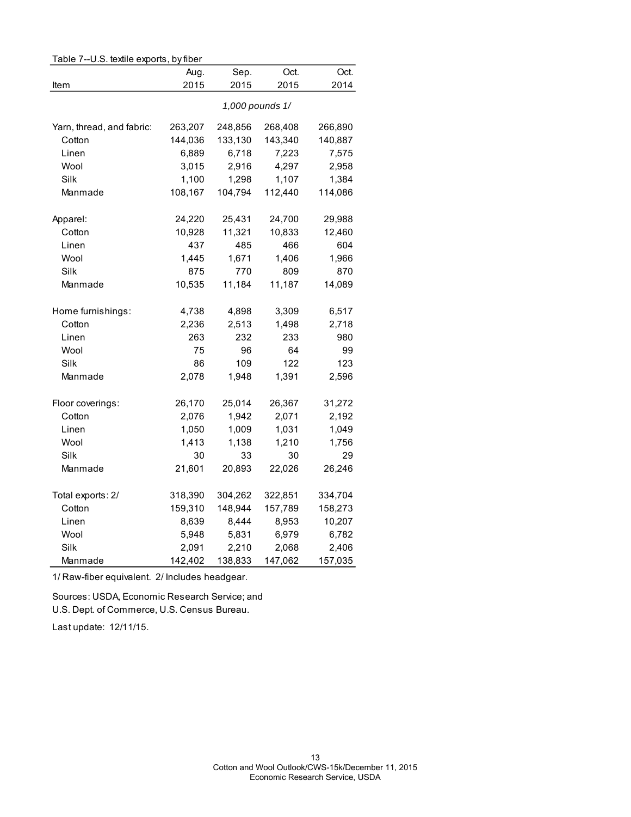| Table 7--U.S. textile exports, by fiber |                 |         |         |         |  |
|-----------------------------------------|-----------------|---------|---------|---------|--|
|                                         | Aug.            | Sep.    | Oct.    | Oct.    |  |
| Item                                    | 2015            | 2015    | 2015    | 2014    |  |
|                                         | 1,000 pounds 1/ |         |         |         |  |
| Yarn, thread, and fabric:               | 263,207         | 248,856 | 268,408 | 266,890 |  |
| Cotton                                  | 144,036         | 133,130 | 143,340 | 140,887 |  |
| Linen                                   | 6,889           | 6,718   | 7,223   | 7,575   |  |
| Wool                                    | 3,015           | 2,916   | 4,297   | 2,958   |  |
| Silk                                    | 1,100           | 1,298   | 1,107   | 1,384   |  |
| Manmade                                 | 108,167         | 104,794 | 112,440 | 114,086 |  |
| Apparel:                                | 24,220          | 25,431  | 24,700  | 29,988  |  |
| Cotton                                  | 10,928          | 11,321  | 10,833  | 12,460  |  |
| Linen                                   | 437             | 485     | 466     | 604     |  |
| Wool                                    | 1,445           | 1,671   | 1,406   | 1,966   |  |
| Silk                                    | 875             | 770     | 809     | 870     |  |
| Manmade                                 | 10,535          | 11,184  | 11,187  | 14,089  |  |
| Home furnishings:                       | 4,738           | 4,898   | 3,309   | 6,517   |  |
| Cotton                                  | 2,236           | 2,513   | 1,498   | 2,718   |  |
| Linen                                   | 263             | 232     | 233     | 980     |  |
| Wool                                    | 75              | 96      | 64      | 99      |  |
| Silk                                    | 86              | 109     | 122     | 123     |  |
| Manmade                                 | 2,078           | 1,948   | 1,391   | 2,596   |  |
| Floor coverings:                        | 26,170          | 25,014  | 26,367  | 31,272  |  |
| Cotton                                  | 2,076           | 1,942   | 2,071   | 2,192   |  |
| Linen                                   | 1,050           | 1,009   | 1,031   | 1,049   |  |
| Wool                                    | 1,413           | 1,138   | 1,210   | 1,756   |  |
| <b>Silk</b>                             | 30              | 33      | 30      | 29      |  |
| Manmade                                 | 21,601          | 20,893  | 22,026  | 26,246  |  |
| Total exports: 2/                       | 318,390         | 304,262 | 322,851 | 334,704 |  |
| Cotton                                  | 159,310         | 148,944 | 157,789 | 158,273 |  |
| Linen                                   | 8,639           | 8,444   | 8,953   | 10,207  |  |
| Wool                                    | 5,948           | 5,831   | 6,979   | 6,782   |  |
| Silk                                    | 2,091           | 2,210   | 2,068   | 2,406   |  |
| Manmade                                 | 142,402         | 138,833 | 147,062 | 157,035 |  |

# Table 7--U.S. textile exports, by fiber

1/ Raw-fiber equivalent. 2/ Includes headgear.

Sources: USDA, Economic Research Service; and U.S. Dept. of Commerce, U.S. Census Bureau.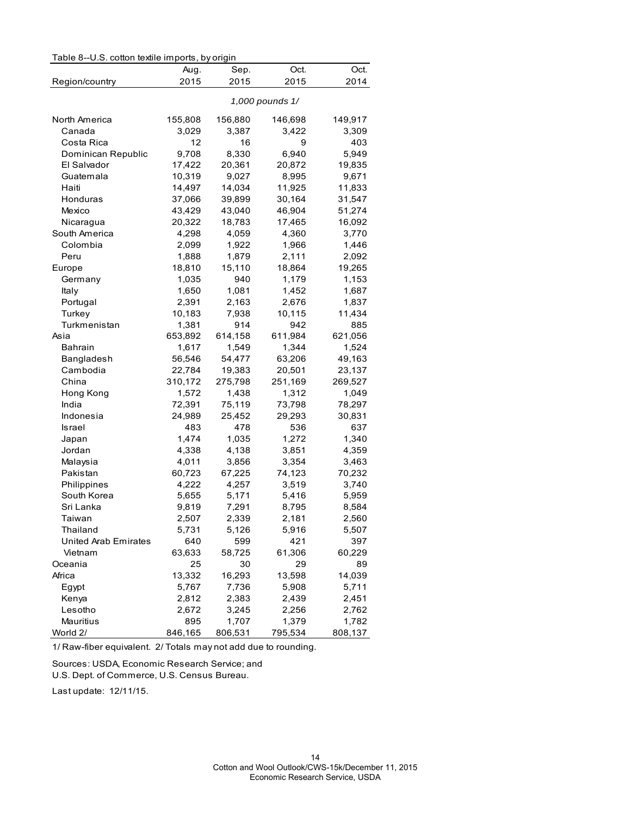| Table 8--U.S. cotton textile imports, by origin | Aug.    | Sep.            | Oct.    | Oct.    |
|-------------------------------------------------|---------|-----------------|---------|---------|
| Region/country                                  | 2015    | 2015            | 2015    | 2014    |
|                                                 |         | 1,000 pounds 1/ |         |         |
| North America                                   | 155,808 | 156,880         | 146,698 | 149,917 |
| Canada                                          | 3,029   | 3,387           | 3,422   | 3,309   |
| Costa Rica                                      | 12      | 16              | 9       | 403     |
| Dominican Republic                              | 9,708   | 8,330           | 6,940   | 5,949   |
| El Salvador                                     | 17,422  | 20,361          | 20,872  | 19,835  |
| Guatemala                                       | 10,319  | 9,027           | 8,995   | 9,671   |
| Haiti                                           | 14,497  | 14,034          | 11,925  | 11,833  |
| Honduras                                        | 37,066  | 39,899          | 30,164  | 31,547  |
| Mexico                                          | 43,429  | 43,040          | 46,904  | 51,274  |
| Nicaragua                                       | 20,322  | 18,783          | 17,465  | 16,092  |
| South America                                   | 4,298   | 4,059           | 4,360   | 3,770   |
| Colombia                                        | 2,099   | 1,922           | 1,966   | 1,446   |
| Peru                                            | 1,888   | 1,879           | 2,111   | 2,092   |
| Europe                                          | 18,810  | 15,110          | 18,864  | 19,265  |
| Germany                                         | 1,035   | 940             | 1,179   | 1,153   |
| Italy                                           | 1,650   | 1,081           | 1,452   | 1,687   |
| Portugal                                        | 2,391   | 2,163           | 2,676   | 1,837   |
| Turkey                                          | 10,183  | 7,938           | 10,115  | 11,434  |
| Turkmenistan                                    | 1,381   | 914             | 942     | 885     |
| Asia                                            | 653,892 | 614,158         | 611,984 | 621,056 |
| <b>Bahrain</b>                                  | 1,617   | 1,549           | 1,344   | 1,524   |
| Bangladesh                                      | 56,546  | 54,477          | 63,206  | 49,163  |
| Cambodia                                        | 22,784  | 19,383          | 20,501  | 23,137  |
| China                                           | 310,172 | 275,798         | 251,169 | 269,527 |
| Hong Kong                                       | 1,572   | 1,438           | 1,312   | 1,049   |
| India                                           | 72,391  | 75,119          | 73,798  | 78,297  |
| Indonesia                                       | 24,989  | 25,452          | 29,293  | 30,831  |
| Israel                                          | 483     | 478             | 536     | 637     |
| Japan                                           | 1,474   | 1,035           | 1,272   | 1,340   |
| Jordan                                          | 4,338   | 4,138           | 3,851   | 4,359   |
| Malaysia                                        | 4,011   | 3,856           | 3,354   | 3,463   |
| Pakistan                                        | 60,723  | 67,225          | 74,123  | 70,232  |
| Philippines                                     | 4,222   | 4,257           | 3,519   | 3,740   |
| South Korea                                     | 5,655   | 5,171           | 5,416   | 5,959   |
| Sri Lanka                                       | 9,819   | 7,291           | 8,795   | 8,584   |
| Taiwan                                          | 2,507   | 2,339           | 2,181   | 2,560   |
| Thailand                                        | 5,731   | 5,126           | 5,916   | 5,507   |
| United Arab Emirates                            | 640     | 599             | 421     | 397     |
| Vietnam                                         | 63,633  | 58,725          | 61,306  | 60,229  |
| Oceania                                         | 25      | 30              | 29      | 89      |
| Africa                                          | 13,332  | 16,293          | 13,598  | 14,039  |
| Egypt                                           | 5,767   | 7,736           | 5,908   | 5,711   |
| Kenya                                           | 2,812   | 2,383           | 2,439   | 2,451   |
| Lesotho                                         | 2,672   | 3,245           | 2,256   | 2,762   |
| Mauritius                                       | 895     | 1,707           | 1,379   | 1,782   |
|                                                 |         |                 |         |         |

1/ Raw-fiber equivalent. 2/ Totals may not add due to rounding.

Sources: USDA, Economic Research Service; and

U.S. Dept. of Commerce, U.S. Census Bureau.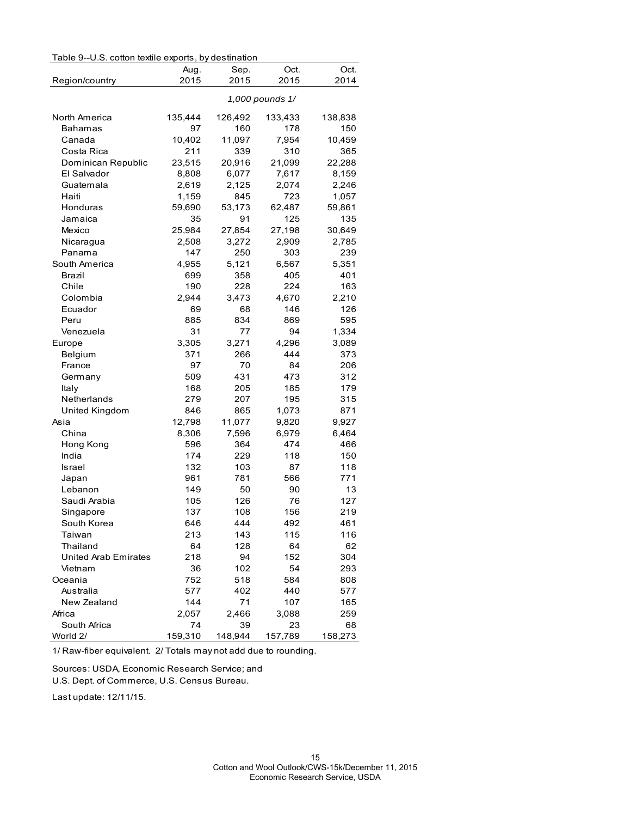|  | Table 9--U.S. cotton textile exports, by destination |  |  |
|--|------------------------------------------------------|--|--|
|--|------------------------------------------------------|--|--|

| Table 9--U.S. cotton textile exports, by destination |              |              |                 |              |
|------------------------------------------------------|--------------|--------------|-----------------|--------------|
| Region/country                                       | Aug.<br>2015 | Sep.<br>2015 | Oct.<br>2015    | Oct.<br>2014 |
|                                                      |              |              | 1,000 pounds 1/ |              |
| North America                                        | 135,444      | 126,492      | 133,433         | 138,838      |
| Bahamas                                              | 97           | 160          | 178             | 150          |
| Canada                                               | 10,402       | 11,097       | 7,954           | 10,459       |
| Costa Rica                                           | 211          | 339          | 310             | 365          |
| Dominican Republic                                   | 23,515       | 20,916       | 21,099          | 22,288       |
| El Salvador                                          | 8,808        | 6,077        | 7,617           | 8,159        |
| Guatemala                                            | 2,619        | 2,125        | 2,074           | 2,246        |
| Haiti                                                | 1,159        | 845          | 723             | 1,057        |
| Honduras                                             | 59,690       | 53,173       | 62,487          | 59,861       |
| Jamaica                                              | 35           | 91           | 125             | 135          |
| Mexico                                               | 25,984       | 27,854       | 27,198          | 30,649       |
| Nicaragua                                            | 2,508        | 3,272        | 2,909           | 2,785        |
| Panama                                               | 147          | 250          | 303             | 239          |
| South America                                        | 4,955        | 5,121        | 6,567           | 5,351        |
| Brazil                                               | 699          | 358          | 405             | 401          |
| Chile                                                | 190          | 228          | 224             | 163          |
| Colombia                                             | 2,944        | 3,473        | 4,670           | 2,210        |
| Ecuador                                              | 69           | 68           | 146             | 126          |
| Peru                                                 | 885          | 834          | 869             | 595          |
| Venezuela                                            | 31           | 77           | 94              | 1,334        |
| Europe                                               | 3,305        | 3,271        | 4,296           | 3,089        |
| Belgium                                              | 371          | 266          | 444             | 373          |
| France                                               | 97           | 70           | 84              | 206          |
| Germany                                              | 509          | 431          | 473             | 312          |
| Italy                                                | 168          | 205          | 185             | 179          |
| Netherlands                                          | 279          | 207          | 195             | 315          |
| United Kingdom                                       | 846          | 865          | 1,073           | 871          |
| Asia                                                 | 12,798       | 11,077       | 9,820           | 9,927        |
| China                                                | 8,306        | 7,596        | 6,979           | 6,464        |
| Hong Kong                                            | 596          | 364          | 474             | 466          |
| India                                                | 174          | 229          | 118             | 150          |
| Israel                                               | 132          | 103          | 87              | 118          |
| Japan                                                | 961          | 781          | 566             | 771          |
| Lebanon                                              | 149          | 50           | 90              | 13           |
| Saudi Arabia                                         | 105          | 126          | 76              | 127          |
| Singapore                                            | 137          | 108          | 156             | 219          |
| South Korea                                          | 646          | 444          | 492             | 461          |
| Taiwan                                               | 213          | 143          | 115             | 116          |
| Thailand                                             | 64           | 128          | 64              | 62           |
| United Arab Emirates                                 | 218          | 94           | 152             | 304          |
| Vietnam                                              | 36           | 102          | 54              | 293          |
| Oceania                                              | 752          | 518          | 584             | 808          |
| Australia                                            | 577          | 402          | 440             | 577          |
| New Zealand                                          | 144          | 71           | 107             | 165          |
| Africa                                               | 2,057        | 2,466        | 3,088           | 259          |
| South Africa                                         | 74           | 39           | 23              | 68           |
| World 2/                                             | 159,310      | 148,944      | 157,789         | 158,273      |

1/ Raw-fiber equivalent. 2/ Totals may not add due to rounding.

Sources: USDA, Economic Research Service; and

U.S. Dept. of Commerce, U.S. Census Bureau.